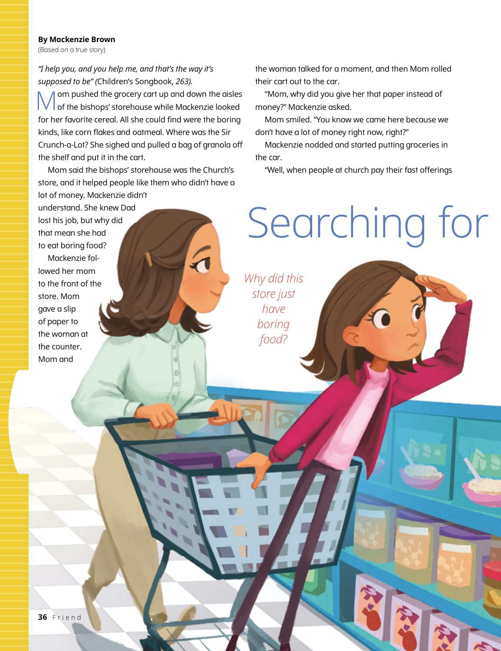## **By Mackenzie Brown**

(Based on a true story)

*"I help you, and you help me, and that's the way it's supposed to be" (*Children's Songbook, *263).*

Mom pushed the grocery cart up and down the aisles of the bishops' storehouse while Mackenzie looked for her favorite cereal. All she could find were the boring kinds, like corn flakes and oatmeal. Where was the Sir Crunch-a-Lot? She sighed and pulled a bag of granola off the shelf and put it in the cart.

Mom said the bishops' storehouse was the Church's store, and it helped people like them who didn't have a lot of money. Mackenzie didn't

understand. She knew Dad lost his job, but why did that mean she had to eat boring food? Mackenzie followed her mom to the front of the store. Mom gave a slip of paper to the woman at the counter. Mom and

the woman talked for a moment, and then Mom rolled their cart out to the car.

"Mom, why did you give her that paper instead of money?" Mackenzie asked.

Mom smiled. "You know we came here because we don't have a lot of money right now, right?"

Mackenzie nodded and started putting groceries in the car.

"Well, when people at church pay their fast offerings

## Searching for

*Why did this store just have boring food?*